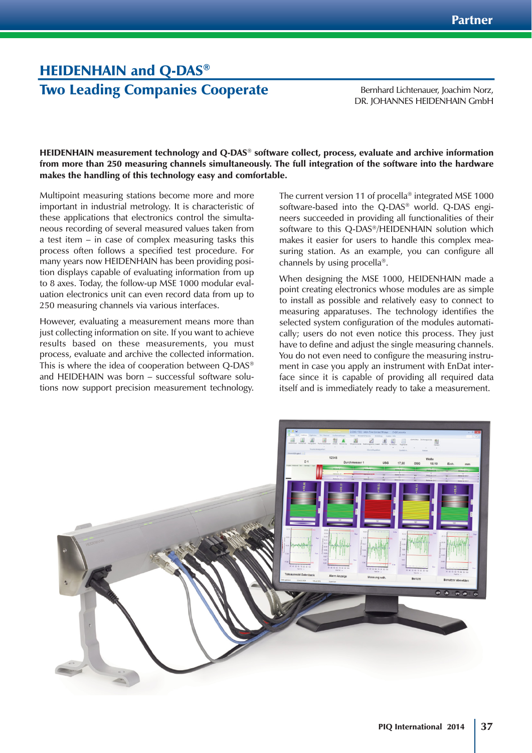## HEIDENHAIN and Q-DAS® Two Leading Companies Cooperate

Bernhard Lichtenauer, Joachim Norz, DR. JOHANNES HEIDENHAIN GmbH

HEIDENHAIN measurement technology and Q-DAS® software collect, process, evaluate and archive information from more than 250 measuring channels simultaneously. The full integration of the software into the hardware makes the handling of this technology easy and comfortable.

Multipoint measuring stations become more and more important in industrial metrology. It is characteristic of these applications that electronics control the simultaneous recording of several measured values taken from a test item – in case of complex measuring tasks this process often follows a specified test procedure. For many years now HEIDENHAIN has been providing position displays capable of evaluating information from up to 8 axes. Today, the follow-up MSE 1000 modular evaluation electronics unit can even record data from up to 250 measuring channels via various interfaces.

However, evaluating a measurement means more than just collecting information on site. If you want to achieve results based on these measurements, you must process, evaluate and archive the collected information. This is where the idea of cooperation between Q-DAS® and HEIDEHAIN was born – successful software solutions now support precision measurement technology.

The current version 11 of procella<sup>®</sup> integrated MSE 1000 software-based into the Q-DAS® world. Q-DAS engineers succeeded in providing all functionalities of their software to this Q-DAS®/HEIDENHAIN solution which makes it easier for users to handle this complex measuring station. As an example, you can configure all channels by using procella®.

When designing the MSE 1000, HEIDENHAIN made a point creating electronics whose modules are as simple to install as possible and relatively easy to connect to measuring apparatuses. The technology identifies the selected system configuration of the modules automatically; users do not even notice this process. They just have to define and adjust the single measuring channels. You do not even need to configure the measuring instrument in case you apply an instrument with EnDat interface since it is capable of providing all required data itself and is immediately ready to take a measurement.